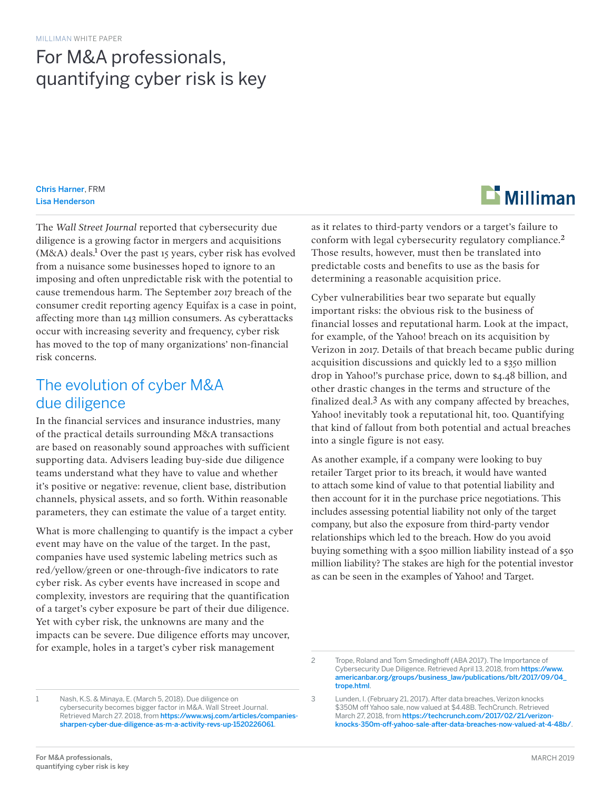# For M&A professionals, quantifying cyber risk is key

Chris Harner, FRM Lisa Henderson

The *Wall Street Journal* reported that cybersecurity due diligence is a growing factor in mergers and acquisitions (M&A) deals.<sup>1</sup> Over the past 15 years, cyber risk has evolved from a nuisance some businesses hoped to ignore to an imposing and often unpredictable risk with the potential to cause tremendous harm. The September 2017 breach of the consumer credit reporting agency Equifax is a case in point, affecting more than 143 million consumers. As cyberattacks occur with increasing severity and frequency, cyber risk has moved to the top of many organizations' non-financial risk concerns.

### The evolution of cyber M&A due diligence

In the financial services and insurance industries, many of the practical details surrounding M&A transactions are based on reasonably sound approaches with sufficient supporting data. Advisers leading buy-side due diligence teams understand what they have to value and whether it's positive or negative: revenue, client base, distribution channels, physical assets, and so forth. Within reasonable parameters, they can estimate the value of a target entity.

What is more challenging to quantify is the impact a cyber event may have on the value of the target. In the past, companies have used systemic labeling metrics such as red/yellow/green or one-through-five indicators to rate cyber risk. As cyber events have increased in scope and complexity, investors are requiring that the quantification of a target's cyber exposure be part of their due diligence. Yet with cyber risk, the unknowns are many and the impacts can be severe. Due diligence efforts may uncover, for example, holes in a target's cyber risk management



as it relates to third-party vendors or a target's failure to conform with legal cybersecurity regulatory compliance.2 Those results, however, must then be translated into predictable costs and benefits to use as the basis for determining a reasonable acquisition price.

Cyber vulnerabilities bear two separate but equally important risks: the obvious risk to the business of financial losses and reputational harm. Look at the impact, for example, of the Yahoo! breach on its acquisition by Verizon in 2017. Details of that breach became public during acquisition discussions and quickly led to a \$350 million drop in Yahoo!'s purchase price, down to \$4.48 billion, and other drastic changes in the terms and structure of the finalized deal.3 As with any company affected by breaches, Yahoo! inevitably took a reputational hit, too. Quantifying that kind of fallout from both potential and actual breaches into a single figure is not easy.

As another example, if a company were looking to buy retailer Target prior to its breach, it would have wanted to attach some kind of value to that potential liability and then account for it in the purchase price negotiations. This includes assessing potential liability not only of the target company, but also the exposure from third-party vendor relationships which led to the breach. How do you avoid buying something with a \$500 million liability instead of a \$50 million liability? The stakes are high for the potential investor as can be seen in the examples of Yahoo! and Target.

<sup>2</sup> Trope, Roland and Tom Smedinghoff (ABA 2017). The Importance of Cybersecurity Due Diligence. Retrieved April 13, 2018, from https://www. americanbar.org/groups/business\_law/publications/blt/2017/09/04\_ trope.html.

<sup>1</sup> Nash, K.S. & Minaya, E. (March 5, 2018). Due diligence on cybersecurity becomes bigger factor in M&A. Wall Street Journal. Retrieved March 27. 2018, from https://www.wsj.com/articles/companiessharpen-cyber-due-diligence-as-m-a-activity-revs-up-1520226061.

<sup>3</sup> Lunden, I. (February 21, 2017). After data breaches, Verizon knocks \$350M off Yahoo sale, now valued at \$4.48B. TechCrunch. Retrieved March 27, 2018, from https://techcrunch.com/2017/02/21/verizonknocks-350m-off-yahoo-sale-after-data-breaches-now-valued-at-4-48b/.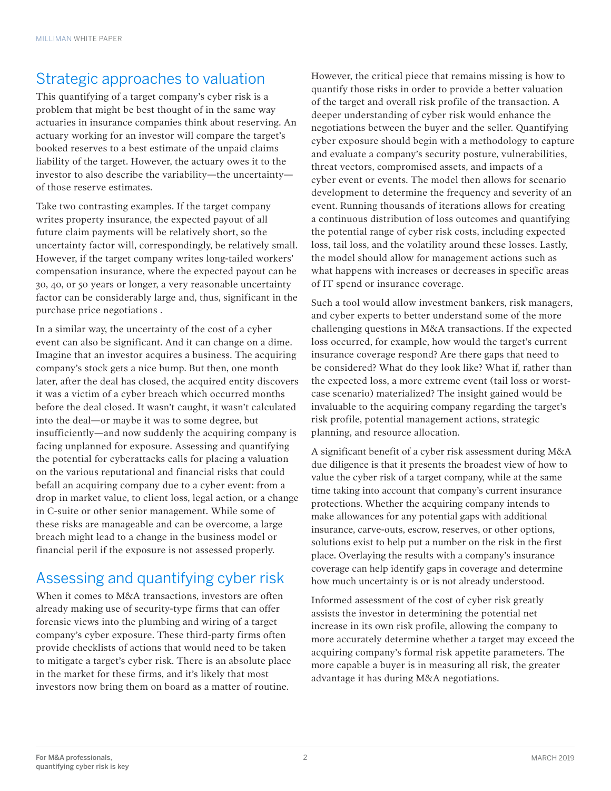### Strategic approaches to valuation

This quantifying of a target company's cyber risk is a problem that might be best thought of in the same way actuaries in insurance companies think about reserving. An actuary working for an investor will compare the target's booked reserves to a best estimate of the unpaid claims liability of the target. However, the actuary owes it to the investor to also describe the variability—the uncertainty of those reserve estimates.

Take two contrasting examples. If the target company writes property insurance, the expected payout of all future claim payments will be relatively short, so the uncertainty factor will, correspondingly, be relatively small. However, if the target company writes long-tailed workers' compensation insurance, where the expected payout can be 30, 40, or 50 years or longer, a very reasonable uncertainty factor can be considerably large and, thus, significant in the purchase price negotiations .

In a similar way, the uncertainty of the cost of a cyber event can also be significant. And it can change on a dime. Imagine that an investor acquires a business. The acquiring company's stock gets a nice bump. But then, one month later, after the deal has closed, the acquired entity discovers it was a victim of a cyber breach which occurred months before the deal closed. It wasn't caught, it wasn't calculated into the deal—or maybe it was to some degree, but insufficiently—and now suddenly the acquiring company is facing unplanned for exposure. Assessing and quantifying the potential for cyberattacks calls for placing a valuation on the various reputational and financial risks that could befall an acquiring company due to a cyber event: from a drop in market value, to client loss, legal action, or a change in C-suite or other senior management. While some of these risks are manageable and can be overcome, a large breach might lead to a change in the business model or financial peril if the exposure is not assessed properly.

## Assessing and quantifying cyber risk

When it comes to M&A transactions, investors are often already making use of security-type firms that can offer forensic views into the plumbing and wiring of a target company's cyber exposure. These third-party firms often provide checklists of actions that would need to be taken to mitigate a target's cyber risk. There is an absolute place in the market for these firms, and it's likely that most investors now bring them on board as a matter of routine.

However, the critical piece that remains missing is how to quantify those risks in order to provide a better valuation of the target and overall risk profile of the transaction. A deeper understanding of cyber risk would enhance the negotiations between the buyer and the seller. Quantifying cyber exposure should begin with a methodology to capture and evaluate a company's security posture, vulnerabilities, threat vectors, compromised assets, and impacts of a cyber event or events. The model then allows for scenario development to determine the frequency and severity of an event. Running thousands of iterations allows for creating a continuous distribution of loss outcomes and quantifying the potential range of cyber risk costs, including expected loss, tail loss, and the volatility around these losses. Lastly, the model should allow for management actions such as what happens with increases or decreases in specific areas of IT spend or insurance coverage.

Such a tool would allow investment bankers, risk managers, and cyber experts to better understand some of the more challenging questions in M&A transactions. If the expected loss occurred, for example, how would the target's current insurance coverage respond? Are there gaps that need to be considered? What do they look like? What if, rather than the expected loss, a more extreme event (tail loss or worstcase scenario) materialized? The insight gained would be invaluable to the acquiring company regarding the target's risk profile, potential management actions, strategic planning, and resource allocation.

A significant benefit of a cyber risk assessment during M&A due diligence is that it presents the broadest view of how to value the cyber risk of a target company, while at the same time taking into account that company's current insurance protections. Whether the acquiring company intends to make allowances for any potential gaps with additional insurance, carve-outs, escrow, reserves, or other options, solutions exist to help put a number on the risk in the first place. Overlaying the results with a company's insurance coverage can help identify gaps in coverage and determine how much uncertainty is or is not already understood.

Informed assessment of the cost of cyber risk greatly assists the investor in determining the potential net increase in its own risk profile, allowing the company to more accurately determine whether a target may exceed the acquiring company's formal risk appetite parameters. The more capable a buyer is in measuring all risk, the greater advantage it has during M&A negotiations.